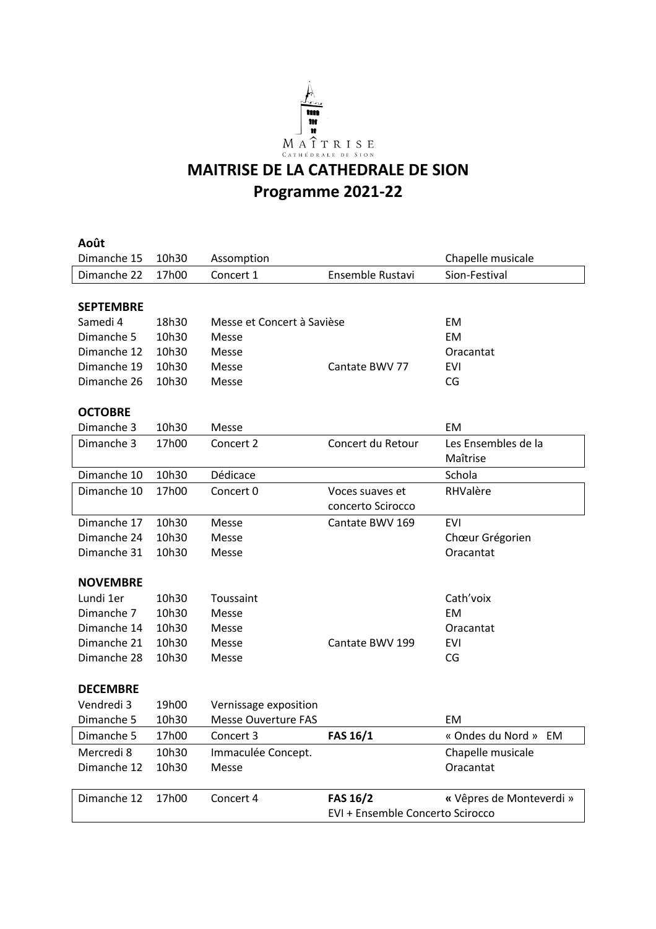

## **MAITRISE DE LA CATHEDRALE DE SION Programme 2021-22**

| Août             |       |                            |                                  |                          |
|------------------|-------|----------------------------|----------------------------------|--------------------------|
| Dimanche 15      | 10h30 | Assomption                 |                                  | Chapelle musicale        |
| Dimanche 22      | 17h00 | Concert 1                  | Ensemble Rustavi                 | Sion-Festival            |
|                  |       |                            |                                  |                          |
| <b>SEPTEMBRE</b> |       |                            |                                  |                          |
| Samedi 4         | 18h30 | Messe et Concert à Savièse |                                  | EM                       |
| Dimanche 5       | 10h30 | Messe                      |                                  | EM                       |
| Dimanche 12      | 10h30 | Messe                      |                                  | Oracantat                |
| Dimanche 19      | 10h30 | Messe                      | Cantate BWV 77                   | <b>EVI</b>               |
| Dimanche 26      | 10h30 | Messe                      |                                  | CG                       |
|                  |       |                            |                                  |                          |
| <b>OCTOBRE</b>   |       |                            |                                  |                          |
| Dimanche 3       | 10h30 | Messe                      |                                  | EM                       |
| Dimanche 3       | 17h00 | Concert 2                  | Concert du Retour                | Les Ensembles de la      |
|                  |       |                            |                                  | Maîtrise                 |
| Dimanche 10      | 10h30 | Dédicace                   |                                  | Schola                   |
| Dimanche 10      | 17h00 | Concert 0                  | Voces suaves et                  | RHValère                 |
|                  |       |                            | concerto Scirocco                |                          |
| Dimanche 17      | 10h30 | Messe                      | Cantate BWV 169                  | <b>EVI</b>               |
| Dimanche 24      | 10h30 | Messe                      |                                  | Chœur Grégorien          |
| Dimanche 31      | 10h30 | Messe                      |                                  | Oracantat                |
|                  |       |                            |                                  |                          |
| <b>NOVEMBRE</b>  |       |                            |                                  |                          |
| Lundi 1er        | 10h30 | Toussaint                  |                                  | Cath'voix                |
| Dimanche 7       | 10h30 | Messe                      |                                  | <b>EM</b>                |
| Dimanche 14      | 10h30 | Messe                      |                                  | Oracantat                |
| Dimanche 21      | 10h30 | Messe                      | Cantate BWV 199                  | <b>EVI</b>               |
| Dimanche 28      | 10h30 | Messe                      |                                  | CG                       |
|                  |       |                            |                                  |                          |
| <b>DECEMBRE</b>  |       |                            |                                  |                          |
| Vendredi 3       | 19h00 | Vernissage exposition      |                                  |                          |
| Dimanche 5       | 10h30 | <b>Messe Ouverture FAS</b> |                                  | EM                       |
| Dimanche 5       | 17h00 | Concert 3                  | FAS 16/1                         | « Ondes du Nord » EM     |
| Mercredi 8       | 10h30 | Immaculée Concept.         |                                  | Chapelle musicale        |
| Dimanche 12      | 10h30 | Messe                      |                                  | Oracantat                |
|                  |       |                            |                                  |                          |
| Dimanche 12      | 17h00 | Concert 4                  | <b>FAS 16/2</b>                  | « Vêpres de Monteverdi » |
|                  |       |                            | EVI + Ensemble Concerto Scirocco |                          |
|                  |       |                            |                                  |                          |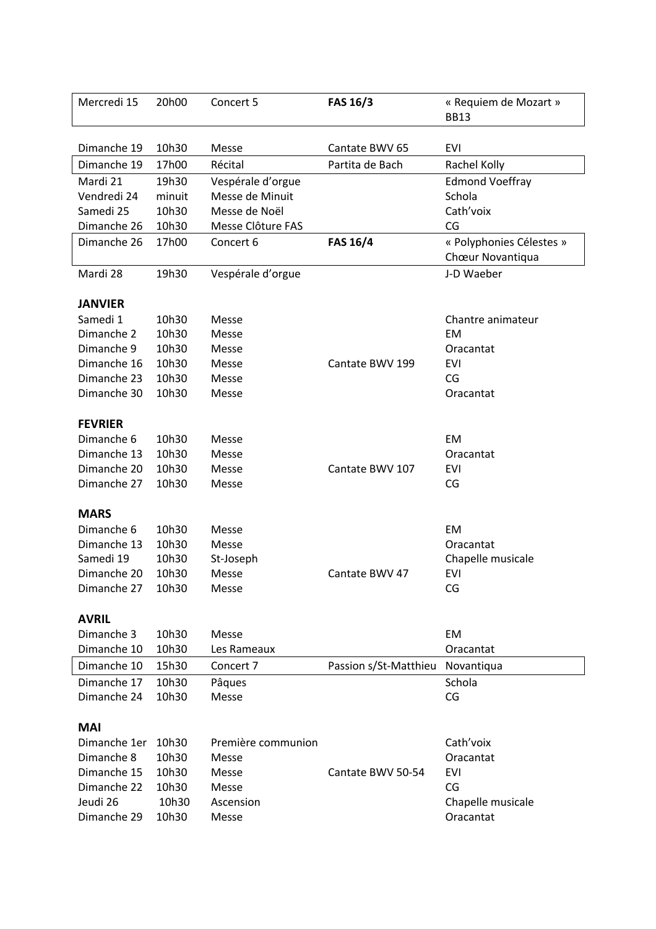| Mercredi 15    | 20h00  | Concert 5          | <b>FAS 16/3</b>       | « Requiem de Mozart »<br><b>BB13</b>         |
|----------------|--------|--------------------|-----------------------|----------------------------------------------|
| Dimanche 19    | 10h30  | Messe              | Cantate BWV 65        | EVI                                          |
| Dimanche 19    | 17h00  | Récital            | Partita de Bach       | Rachel Kolly                                 |
| Mardi 21       | 19h30  | Vespérale d'orgue  |                       | <b>Edmond Voeffray</b>                       |
| Vendredi 24    | minuit | Messe de Minuit    |                       | Schola                                       |
| Samedi 25      | 10h30  | Messe de Noël      |                       | Cath'voix                                    |
| Dimanche 26    | 10h30  | Messe Clôture FAS  |                       | CG                                           |
| Dimanche 26    | 17h00  | Concert 6          | <b>FAS 16/4</b>       | « Polyphonies Célestes »<br>Chœur Novantiqua |
| Mardi 28       | 19h30  | Vespérale d'orgue  |                       | J-D Waeber                                   |
| <b>JANVIER</b> |        |                    |                       |                                              |
| Samedi 1       | 10h30  | Messe              |                       | Chantre animateur                            |
| Dimanche 2     | 10h30  | Messe              |                       | <b>EM</b>                                    |
| Dimanche 9     | 10h30  | Messe              |                       | Oracantat                                    |
| Dimanche 16    | 10h30  | Messe              | Cantate BWV 199       | EVI                                          |
| Dimanche 23    | 10h30  | Messe              |                       | CG                                           |
| Dimanche 30    | 10h30  | Messe              |                       | Oracantat                                    |
| <b>FEVRIER</b> |        |                    |                       |                                              |
| Dimanche 6     | 10h30  | Messe              |                       | EM                                           |
| Dimanche 13    | 10h30  | Messe              |                       | Oracantat                                    |
| Dimanche 20    | 10h30  | Messe              | Cantate BWV 107       | EVI                                          |
| Dimanche 27    | 10h30  | Messe              |                       | CG                                           |
| <b>MARS</b>    |        |                    |                       |                                              |
| Dimanche 6     | 10h30  | Messe              |                       | EM                                           |
| Dimanche 13    | 10h30  | Messe              |                       | Oracantat                                    |
| Samedi 19      | 10h30  | St-Joseph          |                       | Chapelle musicale                            |
| Dimanche 20    | 10h30  | Messe              | Cantate BWV 47        | EVI                                          |
| Dimanche 27    | 10h30  | Messe              |                       | CG                                           |
| <b>AVRIL</b>   |        |                    |                       |                                              |
| Dimanche 3     | 10h30  | Messe              |                       | EM                                           |
| Dimanche 10    | 10h30  | Les Rameaux        |                       | Oracantat                                    |
| Dimanche 10    | 15h30  | Concert 7          | Passion s/St-Matthieu | Novantiqua                                   |
| Dimanche 17    | 10h30  | Pâques             |                       | Schola                                       |
| Dimanche 24    | 10h30  | Messe              |                       | CG                                           |
| <b>MAI</b>     |        |                    |                       |                                              |
| Dimanche 1er   | 10h30  | Première communion |                       | Cath'voix                                    |
| Dimanche 8     | 10h30  | Messe              |                       | Oracantat                                    |
| Dimanche 15    | 10h30  | Messe              | Cantate BWV 50-54     | <b>EVI</b>                                   |
| Dimanche 22    | 10h30  | Messe              |                       | CG                                           |
| Jeudi 26       | 10h30  | Ascension          |                       | Chapelle musicale                            |
| Dimanche 29    | 10h30  | Messe              |                       | Oracantat                                    |